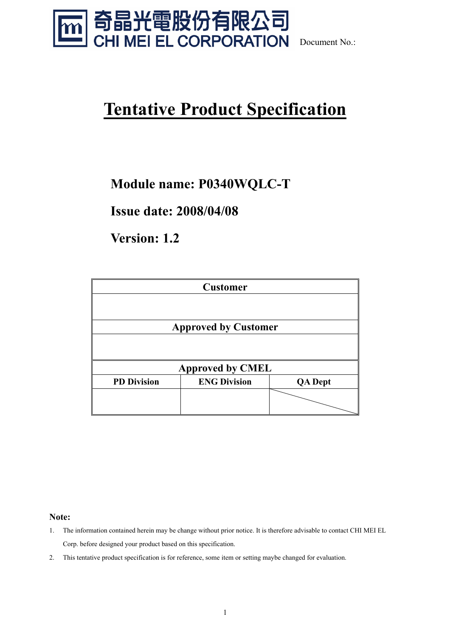

Document No.:

### **Tentative Product Specification**

### **Module name: P0340WQLC-T**

**Issue date: 2008/04/08** 

**Version: 1.2** 

|                    | <b>Customer</b>             |                |
|--------------------|-----------------------------|----------------|
|                    |                             |                |
|                    | <b>Approved by Customer</b> |                |
|                    |                             |                |
|                    | <b>Approved by CMEL</b>     |                |
| <b>PD Division</b> | <b>ENG Division</b>         | <b>QA</b> Dept |
|                    |                             |                |
|                    |                             |                |

**Note:** 

- 1. The information contained herein may be change without prior notice. It is therefore advisable to contact CHI MEI EL Corp. before designed your product based on this specification.
- 2. This tentative product specification is for reference, some item or setting maybe changed for evaluation.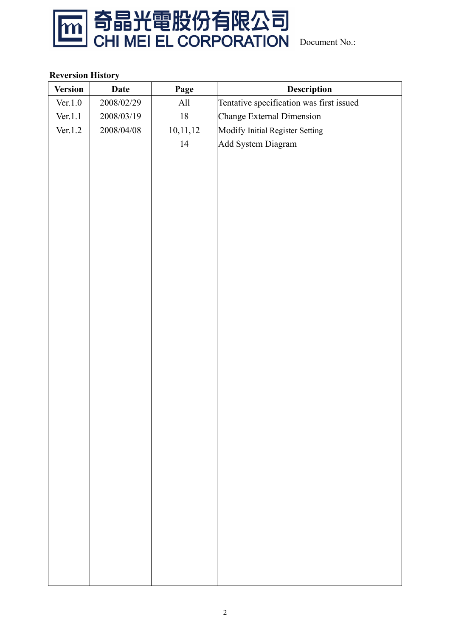

#### **Reversion History**

| <b>Version</b> | <b>Date</b> | Page     | Description                              |
|----------------|-------------|----------|------------------------------------------|
| Ver.1.0        | 2008/02/29  | All      | Tentative specification was first issued |
| Ver.1.1        | 2008/03/19  | $18\,$   | Change External Dimension                |
| Ver.1.2        | 2008/04/08  | 10,11,12 | Modify Initial Register Setting          |
|                |             | 14       | Add System Diagram                       |
|                |             |          |                                          |
|                |             |          |                                          |
|                |             |          |                                          |
|                |             |          |                                          |
|                |             |          |                                          |
|                |             |          |                                          |
|                |             |          |                                          |
|                |             |          |                                          |
|                |             |          |                                          |
|                |             |          |                                          |
|                |             |          |                                          |
|                |             |          |                                          |
|                |             |          |                                          |
|                |             |          |                                          |
|                |             |          |                                          |
|                |             |          |                                          |
|                |             |          |                                          |
|                |             |          |                                          |
|                |             |          |                                          |
|                |             |          |                                          |
|                |             |          |                                          |
|                |             |          |                                          |
|                |             |          |                                          |
|                |             |          |                                          |
|                |             |          |                                          |
|                |             |          |                                          |
|                |             |          |                                          |
|                |             |          |                                          |
|                |             |          |                                          |
|                |             |          |                                          |
|                |             |          |                                          |
|                |             |          |                                          |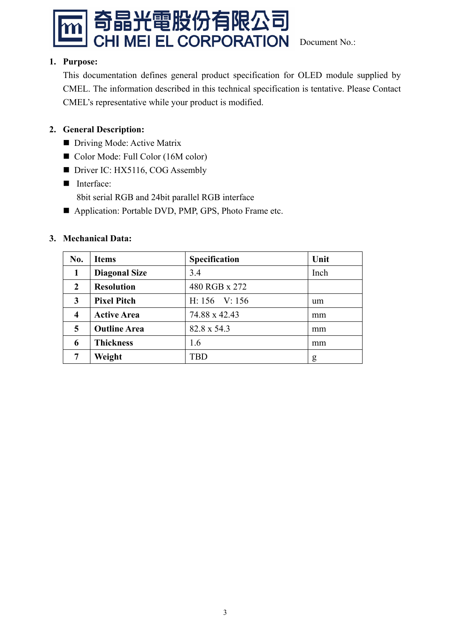

#### **1. Purpose:**

This documentation defines general product specification for OLED module supplied by CMEL. The information described in this technical specification is tentative. Please Contact CMEL's representative while your product is modified.

#### **2. General Description:**

- Driving Mode: Active Matrix
- Color Mode: Full Color (16M color)
- Driver IC: HX5116, COG Assembly
- Interface:
	- 8bit serial RGB and 24bit parallel RGB interface
- Application: Portable DVD, PMP, GPS, Photo Frame etc.

#### **3. Mechanical Data:**

| No.                     | <b>Items</b>         | Specification | Unit |
|-------------------------|----------------------|---------------|------|
| 1                       | <b>Diagonal Size</b> | 3.4           | Inch |
| $\mathbf{2}$            | <b>Resolution</b>    | 480 RGB x 272 |      |
| 3                       | <b>Pixel Pitch</b>   | H: 156 V: 156 | um   |
| $\overline{\mathbf{4}}$ | <b>Active Area</b>   | 74.88 x 42.43 | mm   |
| 5                       | <b>Outline Area</b>  | 82.8 x 54.3   | mm   |
| 6                       | <b>Thickness</b>     | 1.6           | mm   |
|                         | Weight               | TBD           | g    |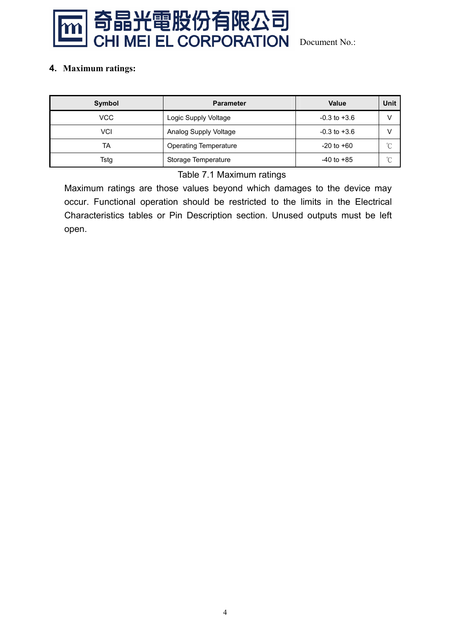

#### **4. Maximum ratings:**

| Symbol | <b>Parameter</b>             | Value            | <b>Unit</b> |
|--------|------------------------------|------------------|-------------|
| VCC    | Logic Supply Voltage         | $-0.3$ to $+3.6$ | V           |
| VCI    | Analog Supply Voltage        | $-0.3$ to $+3.6$ | V           |
| TA     | <b>Operating Temperature</b> | $-20$ to $+60$   | $\sim$<br>◡ |
| Tstg   | Storage Temperature          | $-40$ to $+85$   | $\sim$      |

#### Table 7.1 Maximum ratings

Maximum ratings are those values beyond which damages to the device may occur. Functional operation should be restricted to the limits in the Electrical Characteristics tables or Pin Description section. Unused outputs must be left open.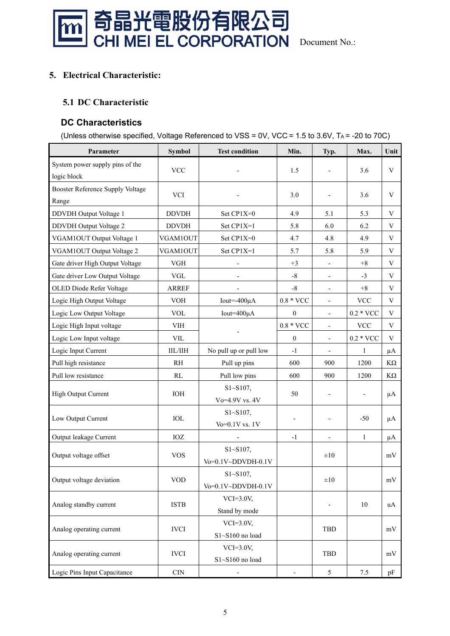

#### **5. Electrical Characteristic:**

#### **5.1 DC Characteristic**

#### **DC Characteristics**

(Unless otherwise specified, Voltage Referenced to VSS = 0V, VCC = 1.5 to 3.6V, TA = -20 to 70C)

| Parameter                                        | Symbol                      | <b>Test condition</b>               | Min.               | Typ.                         | Max.                      | Unit               |
|--------------------------------------------------|-----------------------------|-------------------------------------|--------------------|------------------------------|---------------------------|--------------------|
| System power supply pins of the<br>logic block   | <b>VCC</b>                  |                                     | 1.5                |                              | 3.6                       | V                  |
| <b>Booster Reference Supply Voltage</b><br>Range | <b>VCI</b>                  |                                     | 3.0                |                              | 3.6                       | V                  |
| <b>DDVDH</b> Output Voltage 1                    | <b>DDVDH</b>                | Set CP1X=0                          | 4.9                | 5.1                          | 5.3                       | V                  |
| DDVDH Output Voltage 2                           | <b>DDVDH</b>                | Set CP1X=1                          | 5.8                | 6.0                          | 6.2                       | V                  |
| VGAM1OUT Output Voltage 1                        | VGAM1OUT                    | Set CP1X=0                          | 4.7                | 4.8                          | 4.9                       | V                  |
| VGAM1OUT Output Voltage 2                        | VGAM1OUT                    | Set CP1X=1                          | 5.7                | 5.8                          | 5.9                       | V                  |
| Gate driver High Output Voltage                  | <b>VGH</b>                  |                                     | $+3$               | $\overline{\phantom{a}}$     | $+8$                      | V                  |
| Gate driver Low Output Voltage                   | $\ensuremath{\mathsf{VGL}}$ |                                     | $-8$               | $\overline{\phantom{a}}$     | $-3$                      | V                  |
| OLED Diode Refer Voltage                         | <b>ARREF</b>                |                                     | $-8$               |                              | $+8$                      | V                  |
| Logic High Output Voltage                        | <b>VOH</b>                  | Iout= $-400\mu A$                   | $0.8 * \text{VCC}$ | $\qquad \qquad \blacksquare$ | $\ensuremath{\text{VCC}}$ | V                  |
| Logic Low Output Voltage                         | <b>VOL</b>                  | Iout=400µA                          | $\mathbf{0}$       | $\blacksquare$               | $0.2 * \text{VCC}$        | V                  |
| Logic High Input voltage                         | <b>VIH</b>                  |                                     | $0.8 * \text{VCC}$ | $\overline{\phantom{a}}$     | $\ensuremath{\text{VCC}}$ | V                  |
| Logic Low Input voltage                          | <b>VIL</b>                  |                                     | $\boldsymbol{0}$   | $\overline{\phantom{0}}$     | $0.2 * VCC$               | V                  |
| Logic Input Current                              | $\rm IIL/IIH$               | No pull up or pull low              | $-1$               |                              | $\mathbf{1}$              | μA                 |
| Pull high resistance                             | <b>RH</b>                   | Pull up pins                        | 600                | 900                          | 1200                      | $\mathrm{K}\Omega$ |
| Pull low resistance                              | RL                          | Pull low pins                       | 600                | 900                          | 1200                      | $K\Omega$          |
| High Output Current                              | $\rm IOH$                   | $S1 - S107$ ,<br>Vo=4.9V vs. 4V     | 50                 | $\overline{\phantom{a}}$     | $\overline{\phantom{a}}$  | μA                 |
| Low Output Current                               | IOL                         | $S1 - S107$ ,<br>$Vo=0.1V$ vs. $1V$ |                    |                              | $-50$                     | μA                 |
| Output leakage Current                           | IOZ                         |                                     | $-1$               | $\overline{\phantom{a}}$     | $\mathbf{1}$              | μA                 |
| Output voltage offset                            | <b>VOS</b>                  | $S1 - S107$ ,<br>Vo=0.1V~DDVDH-0.1V |                    | $\pm 10$                     |                           | $\rm mV$           |
| Output voltage deviation                         | $\rm VOD$                   | $S1 - S107$ ,<br>Vo=0.1V~DDVDH-0.1V |                    | $\pm 10$                     |                           | $\bold{mV}$        |
| Analog standby current                           | <b>ISTB</b>                 | $VCI=3.0V,$<br>Stand by mode        |                    |                              | 10                        | uA                 |
| Analog operating current                         | <b>IVCI</b>                 | $VCI=3.0V,$<br>$S1 - S160$ no load  |                    | TBD                          |                           | mV                 |
| Analog operating current                         | <b>IVCI</b>                 | $VCI=3.0V,$<br>S1~S160 no load      |                    | TBD                          |                           | mV                 |
| Logic Pins Input Capacitance                     | $\ensuremath{\mathrm{CIN}}$ |                                     |                    | 5                            | 7.5                       | pF                 |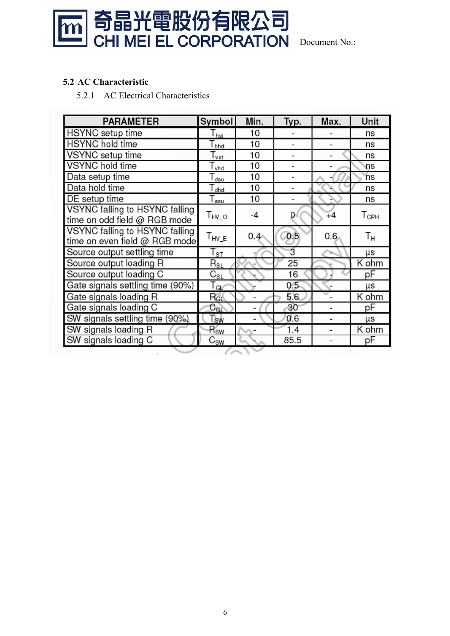

#### **5.2 AC Characteristic**

5.2.1 AC Electrical Characteristics

| <b>PARAMETER</b>                 | Symbol                      | Min.          | Typ. | Max. | Unit           |
|----------------------------------|-----------------------------|---------------|------|------|----------------|
| <b>HSYNC</b> setup time          | I <sub>hst</sub>            | 10            |      |      | ns             |
| <b>HSYNC</b> hold time           | T <sub>hhd</sub>            | 10            |      |      | ns             |
| VSYNC setup time                 | $T_{\text{vst}}$            | 10            |      |      | ns             |
| <b>VSYNC</b> hold time           | $T_{vhd}$                   | 10            |      |      | ns             |
| Data setup time                  | $\mathsf{T}_{\mathsf{dsu}}$ | 10            |      |      | ns             |
| Data hold time                   | $\Gamma_{\text{dhd}}$       | 10            |      |      | ns             |
| DE setup time                    | $T_{\texttt{esu}}$          | 10            |      |      | ns             |
| VSYNC falling to HSYNC falling   | $T_{HV\_O}$                 | -4            | 0    | $+4$ | Тсрн           |
| time on odd field @ RGB mode     |                             |               |      |      |                |
| VSYNC falling to HSYNC falling   | $T_{HV\_E}$                 | $0.4^{\circ}$ | 0.5  | 0.6  | Т <sub>н</sub> |
| time on even field @ RGB mode    |                             |               |      |      |                |
| Source output settling time      | ${\sf T}_{\tt ST}$          |               | 3    |      | μs             |
| Source output loading R          | $R_{\scriptstyle\rm SL}$    |               | 25   |      | K ohm          |
| Source output loading C          | $C_{\rm SL}$                |               | 16   |      | рF             |
| Gate signals settling time (90%) | $\Gamma_{\text{GL}}$        |               | 0.5  |      | μs             |
| Gate signals loading R           | $R_{GL}$                    |               | 5.6  |      | K ohm          |
| Gate signals loading C           | $C_{GL}$                    |               | 30   |      | рF             |
| SW signals settling time (90%).  | Tsw                         |               | 0.6  |      | μs             |
| SW signals loading R             | $R_{SW}$                    |               | 1.4  |      | K ohm          |
| SW signals loading C             | $C_{\text{SW}}$             |               | 85.5 |      | рF             |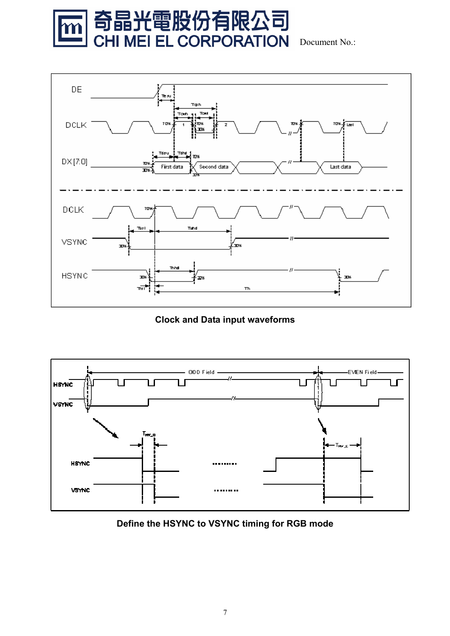



**Clock and Data input waveforms**



**Define the HSYNC to VSYNC timing for RGB mode**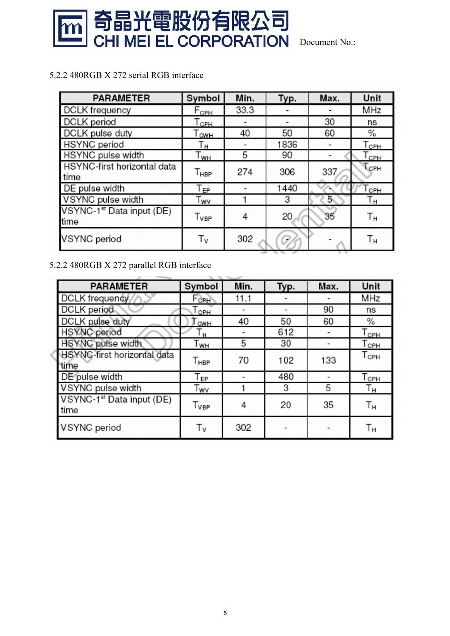

5.2.2 480RGB X 272 serial RGB interface

| <b>PARAMETER</b>                              | Symbol             | Min. | Typ. | Max. | Unit                      |
|-----------------------------------------------|--------------------|------|------|------|---------------------------|
| <b>DCLK</b> frequency                         | $F_{\text{CPH}}$   | 33.3 |      |      | MHz                       |
| DCLK period                                   | $T_{\mathsf{CPH}}$ |      |      | 30   | ns                        |
| DCLK pulse duty                               | $T_{\text{CWH}}$   | 40   | 50   | 60   | %                         |
| <b>HSYNC</b> period                           | Τн                 |      | 1836 |      | $T_{\mathsf{CPH}}$        |
| HSYNC pulse width                             | l <sub>WH</sub>    | 5    | 90   |      | $\mathsf{T_{\text{CPH}}}$ |
| HSYNC-first horizontal data<br>time           | Т <sub>нвр</sub>   | 274  | 306  | 337  | Тсрн                      |
| DE pulse width                                | Т <sub>ЕР</sub>    |      | 1440 |      | Горн                      |
| VSYNC pulse width                             | Twv                |      | 3    | 5    | Τн                        |
| VSYNC-1 <sup>st</sup> Data input (DE)<br>time | T <sub>VBP</sub>   | 4    | 20   | 35   | Тн                        |
| <b>VSYNC</b> period                           | Τv                 | 302  |      |      | Тн                        |

#### 5.2.2 480RGB X 272 parallel RGB interface

| <b>PARAMETER</b>                              | Symbol                                    | Min. | Typ. | Max. | Unit                        |
|-----------------------------------------------|-------------------------------------------|------|------|------|-----------------------------|
| <b>DCLK</b> frequency                         | $F_{CH}$                                  | 11.1 |      |      | MHz                         |
| DCLK period                                   | $\tau_{\scriptscriptstyle{\mathrm{CPH}}}$ |      |      | 90   | ns                          |
| DCLK pulse duty                               | CWH                                       | 40   | 50   | 60   | $\%$                        |
| <b>HSYNC</b> period                           | ŀн                                        |      | 612  |      | $\mathsf{T}_{\mathsf{CPH}}$ |
| HSYNC pulse width                             | T <sub>wн</sub>                           | 5    | 30   |      | Тсрн                        |
| <b>HSYNC-first horizontal data</b><br>time    | T <sub>HBP</sub>                          | 70   | 102  | 133  | $T_{\texttt{CPH}}$          |
| DE pulse width                                | l EP                                      |      | 480  |      | Тсрн                        |
| VSYNC pulse width                             | Twv                                       |      | 3    | 5    | Τн                          |
| VSYNC-1 <sup>st</sup> Data input (DE)<br>time | T <sub>VBP</sub>                          | 4    | 20   | 35   | Тн                          |
| VSYNC period                                  | Τv                                        | 302  |      |      | Τн                          |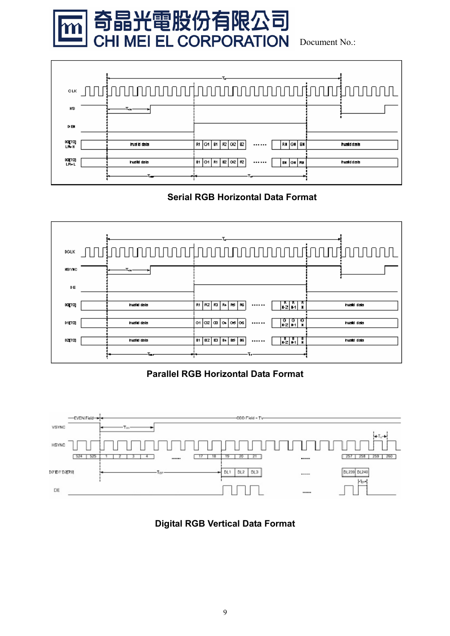



#### **Serial RGB Horizontal Data Format**



#### **Parallel RGB Horizontal Data Format**



#### **Digital RGB Vertical Data Format**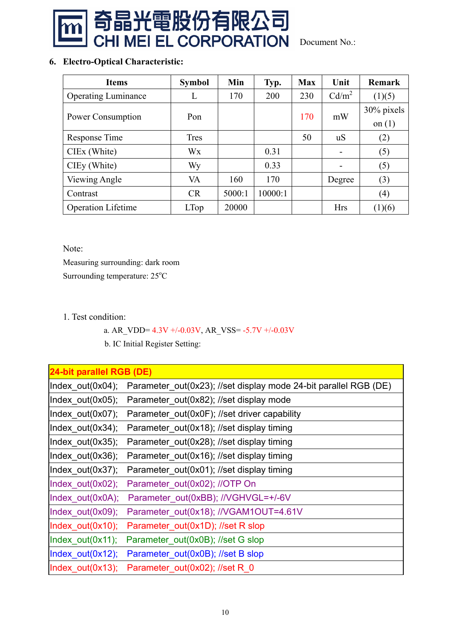

#### **6. Electro-Optical Characteristic:**

| <b>Items</b>               | <b>Symbol</b> | Min    | Typ.    | <b>Max</b> | Unit              | <b>Remark</b>          |
|----------------------------|---------------|--------|---------|------------|-------------------|------------------------|
| <b>Operating Luminance</b> | L             | 170    | 200     | 230        | Cd/m <sup>2</sup> | (1)(5)                 |
| Power Consumption          | Pon           |        |         | 170        | mW                | 30% pixels<br>on $(1)$ |
| Response Time              | <b>Tres</b>   |        |         | 50         | u <sub>S</sub>    | (2)                    |
| CIEx (White)               | Wx            |        | 0.31    |            |                   | (5)                    |
| CIEy (White)               | Wy            |        | 0.33    |            |                   | (5)                    |
| Viewing Angle              | VA            | 160    | 170     |            | Degree            | (3)                    |
| Contrast                   | CR            | 5000:1 | 10000:1 |            |                   | (4)                    |
| <b>Operation Lifetime</b>  | <b>LTop</b>   | 20000  |         |            | <b>Hrs</b>        | (1)(6)                 |

Note:

Measuring surrounding: dark room Surrounding temperature: 25°C

1. Test condition:

a. AR\_VDD=  $4.3V +/-0.03V$ , AR\_VSS=  $-5.7V +/-0.03V$ 

b. IC Initial Register Setting:

| 24-bit parallel RGB (DE) |                                                                  |
|--------------------------|------------------------------------------------------------------|
| Index_out(0x04);         | Parameter_out(0x23); //set display mode 24-bit parallel RGB (DE) |
| Index $out(0x05)$ ;      | Parameter out(0x82); //set display mode                          |
| Index out(0x07);         | Parameter out(0x0F); //set driver capability                     |
| Index_out(0x34);         | Parameter_out(0x18); //set display timing                        |
| $Index_out(0x35);$       | Parameter_out(0x28); //set display timing                        |
| Index out(0x36);         | Parameter_out(0x16); //set display timing                        |
| Index_out(0x37);         | Parameter_out(0x01); //set display timing                        |
| Index_out(0x02);         | Parameter_out(0x02); //OTP On                                    |
| Index_out(0x0A);         | Parameter_out(0xBB); //VGHVGL=+/-6V                              |
| Index_out(0x09);         | Parameter_out(0x18); //VGAM1OUT=4.61V                            |
| Index_out(0x10);         | Parameter_out(0x1D); //set R slop                                |
| Index_out(0x11);         | Parameter_out(0x0B); //set G slop                                |
| Index_out(0x12);         | Parameter_out(0x0B); //set B slop                                |
| $Index_out(0x13);$       | Parameter_out(0x02); //set R_0                                   |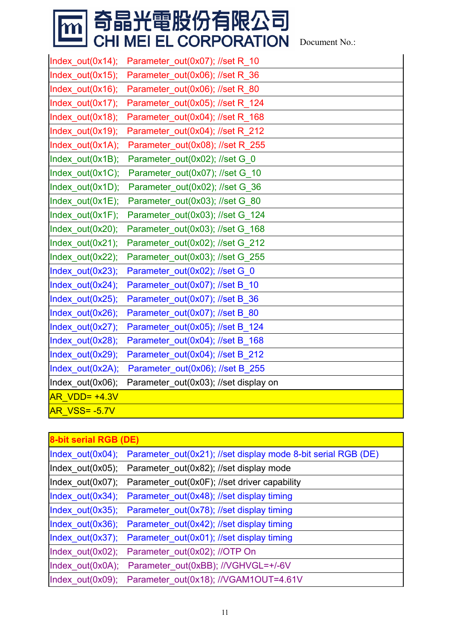# **m 奇晶光電股份有限公司<br>Leng CHI MEI EL CORPORATION** Document No.:

| Index_out(0x14);     | Parameter_out(0x07); //set R_10       |
|----------------------|---------------------------------------|
| Index out(0x15);     | Parameter out(0x06); //set R 36       |
| Index_out(0x16);     | Parameter_out(0x06); //set R_80       |
| Index_out(0x17);     | Parameter_out(0x05); //set R_124      |
| Index_out(0x18);     | Parameter_out(0x04); //set R_168      |
| Index_out(0x19);     | Parameter_out(0x04); //set R_212      |
| Index_out(0x1A);     | Parameter_out(0x08); //set R_255      |
| Index_out(0x1B);     | Parameter_out(0x02); //set G_0        |
| Index_out(0x1C);     | Parameter_out(0x07); //set G_10       |
| Index out(0x1D);     | Parameter out(0x02); //set G 36       |
| Index out(0x1E);     | Parameter_out(0x03); //set G_80       |
| Index_out(0x1F);     | Parameter_out(0x03); //set G_124      |
| Index_out(0x20);     | Parameter_out(0x03); //set G_168      |
| Index_out(0x21);     | Parameter_out(0x02); //set G_212      |
| Index_out(0x22);     | Parameter_out(0x03); //set G_255      |
| Index_out(0x23);     | Parameter_out(0x02); //set G_0        |
| Index_out(0x24);     | Parameter out(0x07); //set B 10       |
| Index_out(0x25);     | Parameter_out(0x07); //set B_36       |
| Index_out(0x26);     | Parameter_out(0x07); //set B_80       |
| Index_out(0x27);     | Parameter_out(0x05); //set B_124      |
| Index_out(0x28);     | Parameter_out(0x04); //set B_168      |
| Index_out(0x29);     | Parameter out(0x04); //set B 212      |
| Index_out(0x2A);     | Parameter_out(0x06); //set B_255      |
| Index_out(0x06);     | Parameter_out(0x03); //set display on |
| <b>AR VDD= +4.3V</b> |                                       |
| <b>AR VSS= -5.7V</b> |                                       |

| 8-bit serial RGB (DE) |                                                               |
|-----------------------|---------------------------------------------------------------|
| Index_out(0x04);      | Parameter_out(0x21); //set display mode 8-bit serial RGB (DE) |
| Index_out(0x05);      | Parameter_out(0x82); //set display mode                       |
| Index $out(0x07)$ ;   | Parameter out(0x0F); //set driver capability                  |
| Index $out(0x34);$    | Parameter_out(0x48); //set display timing                     |
| Index_out(0x35);      | Parameter_out(0x78); //set display timing                     |
| Index_out(0x36);      | Parameter out(0x42); //set display timing                     |
| Index $out(0x37);$    | Parameter_out(0x01); //set display timing                     |
| Index $out(0x02)$ ;   | Parameter out(0x02); //OTP On                                 |
| Index_out(0x0A);      | Parameter out(0xBB); //VGHVGL=+/-6V                           |
| Index out(0x09);      | Parameter out(0x18); //VGAM1OUT=4.61V                         |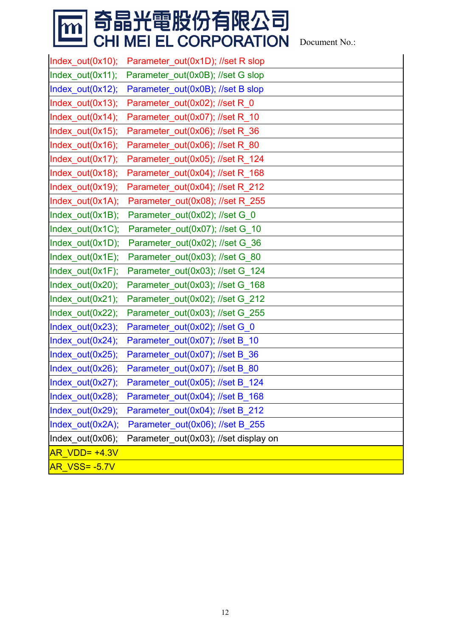# **m 奇晶光電股份有限公司<br>Le CHI MEI EL CORPORATION** Document No.:

| $Index_out(0x10);$   | Parameter_out(0x1D); //set R slop     |
|----------------------|---------------------------------------|
| Index_out(0x11);     | Parameter_out(0x0B); //set G slop     |
| Index_out(0x12);     | Parameter_out(0x0B); //set B slop     |
| Index_out(0x13);     | Parameter_out(0x02); //set R_0        |
| Index_out(0x14);     | Parameter_out(0x07); //set R_10       |
| Index_out(0x15);     | Parameter_out(0x06); //set R_36       |
| Index_out(0x16);     | Parameter_out(0x06); //set R_80       |
| Index_out(0x17);     | Parameter_out(0x05); //set R_124      |
| Index_out(0x18);     | Parameter_out(0x04); //set R_168      |
| Index_out(0x19);     | Parameter_out(0x04); //set R_212      |
| Index_out(0x1A);     | Parameter_out(0x08); //set R_255      |
| Index_out(0x1B);     | Parameter_out(0x02); //set G_0        |
| Index_out(0x1C);     | Parameter_out(0x07); //set G_10       |
| Index_out(0x1D);     | Parameter_out(0x02); //set G_36       |
| Index_out(0x1E);     | Parameter_out(0x03); //set G_80       |
| Index_out(0x1F);     | Parameter_out(0x03); //set G_124      |
| Index_out(0x20);     | Parameter_out(0x03); //set G_168      |
| Index_out(0x21);     | Parameter_out(0x02); //set G_212      |
| Index_out(0x22);     | Parameter_out(0x03); //set G_255      |
| Index_out(0x23);     | Parameter_out(0x02); //set G_0        |
| Index_out(0x24);     | Parameter_out(0x07); //set B_10       |
| Index_out(0x25);     | Parameter_out(0x07); //set B_36       |
| Index_out(0x26);     | Parameter_out(0x07); //set B_80       |
| Index_out(0x27);     | Parameter_out(0x05); //set B_124      |
| Index_out(0x28);     | Parameter_out(0x04); //set B_168      |
| Index_out(0x29);     | Parameter_out(0x04); //set B_212      |
| Index_out(0x2A);     | Parameter_out(0x06); //set B_255      |
| Index_out(0x06);     | Parameter_out(0x03); //set display on |
| <b>AR VDD= +4.3V</b> |                                       |
| <b>AR VSS= -5.7V</b> |                                       |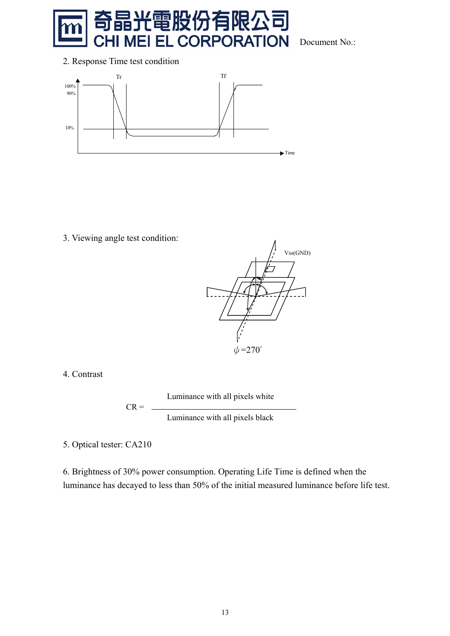

Document No.:



3. Viewing angle test condition:



4. Contrast

Luminance with all pixels white

Luminance with all pixels black

5. Optical tester: CA210

 $CR = -$ 

6. Brightness of 30% power consumption. Operating Life Time is defined when the luminance has decayed to less than 50% of the initial measured luminance before life test.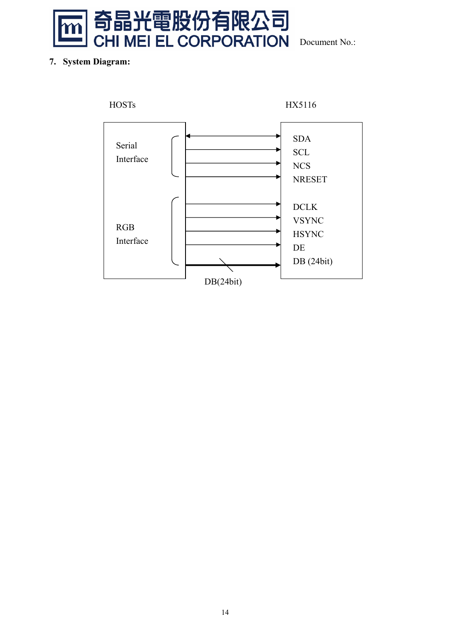

#### **7. System Diagram:**

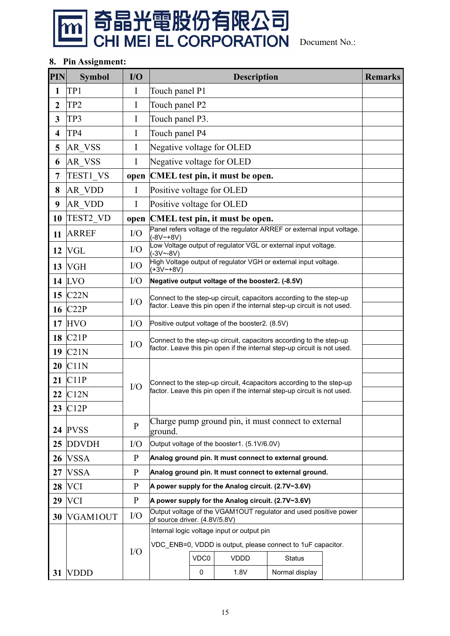

#### **8. Pin Assignment:**

| <b>PIN</b>              | <b>Symbol</b>        | I/O          |                                                                          |                                                                                                   | <b>Description</b>                                 |                                                                          |  | <b>Remarks</b> |  |
|-------------------------|----------------------|--------------|--------------------------------------------------------------------------|---------------------------------------------------------------------------------------------------|----------------------------------------------------|--------------------------------------------------------------------------|--|----------------|--|
| $\mathbf{1}$            | TP1                  | I            | Touch panel P1                                                           |                                                                                                   |                                                    |                                                                          |  |                |  |
| $\boldsymbol{2}$        | TP <sub>2</sub>      | I            | Touch panel P2                                                           |                                                                                                   |                                                    |                                                                          |  |                |  |
| 3                       | TP3                  | I            | Touch panel P3.                                                          |                                                                                                   |                                                    |                                                                          |  |                |  |
| $\overline{\mathbf{4}}$ | TP4                  | I            | Touch panel P4                                                           |                                                                                                   |                                                    |                                                                          |  |                |  |
| 5                       | <b>AR VSS</b>        | I            |                                                                          | Negative voltage for OLED                                                                         |                                                    |                                                                          |  |                |  |
| 6                       | AR_VSS               | I            | Negative voltage for OLED                                                |                                                                                                   |                                                    |                                                                          |  |                |  |
| 7                       | TEST1_VS             |              |                                                                          |                                                                                                   | open CMEL test pin, it must be open.               |                                                                          |  |                |  |
| 8                       | AR_VDD               | $\mathbf I$  | Positive voltage for OLED                                                |                                                                                                   |                                                    |                                                                          |  |                |  |
| 9                       | <b>AR VDD</b>        | $\mathbf I$  | Positive voltage for OLED                                                |                                                                                                   |                                                    |                                                                          |  |                |  |
| 10                      | TEST2_VD             |              |                                                                          |                                                                                                   | open CMEL test pin, it must be open.               |                                                                          |  |                |  |
| 11                      | <b>ARREF</b>         | I/O          | $(-8V - 8V)$                                                             |                                                                                                   |                                                    | Panel refers voltage of the regulator ARREF or external input voltage.   |  |                |  |
| 12                      | <b>VGL</b>           | I/O          | $(-3V - 8V)$                                                             |                                                                                                   |                                                    | Low Voltage output of regulator VGL or external input voltage.           |  |                |  |
| 13                      | <b>VGH</b>           | I/O          | $(+3V - +8V)$                                                            | High Voltage output of regulator VGH or external input voltage.                                   |                                                    |                                                                          |  |                |  |
| 14                      | <b>LVO</b>           | I/O          |                                                                          | Negative output voltage of the booster2. (-8.5V)                                                  |                                                    |                                                                          |  |                |  |
| 15                      | C22N                 | I/O          | Connect to the step-up circuit, capacitors according to the step-up      |                                                                                                   |                                                    |                                                                          |  |                |  |
|                         | 16 C <sub>22</sub> P |              | factor. Leave this pin open if the internal step-up circuit is not used. |                                                                                                   |                                                    |                                                                          |  |                |  |
| 17                      | <b>HVO</b>           | I/O          | Positive output voltage of the booster2. (8.5V)                          |                                                                                                   |                                                    |                                                                          |  |                |  |
| 18                      | C21P                 | I/O          | Connect to the step-up circuit, capacitors according to the step-up      |                                                                                                   |                                                    |                                                                          |  |                |  |
| 19                      | C21N                 |              |                                                                          |                                                                                                   |                                                    | factor. Leave this pin open if the internal step-up circuit is not used. |  |                |  |
| 20                      | C11N                 |              |                                                                          |                                                                                                   |                                                    |                                                                          |  |                |  |
| 21                      | C11P                 |              | Connect to the step-up circuit, 4 capacitors according to the step-up    |                                                                                                   |                                                    |                                                                          |  |                |  |
| 22                      | C12N                 | I/O          | factor. Leave this pin open if the internal step-up circuit is not used. |                                                                                                   |                                                    |                                                                          |  |                |  |
|                         | 23 C <sub>12</sub> P |              |                                                                          |                                                                                                   |                                                    |                                                                          |  |                |  |
| 24                      | <b>PVSS</b>          | $\mathbf{P}$ | Charge pump ground pin, it must connect to external<br>ground.           |                                                                                                   |                                                    |                                                                          |  |                |  |
| 25                      | <b>DDVDH</b>         | I/O          | Output voltage of the booster1. (5.1V/6.0V)                              |                                                                                                   |                                                    |                                                                          |  |                |  |
| 26                      | <b>VSSA</b>          | $\mathbf{P}$ |                                                                          |                                                                                                   |                                                    | Analog ground pin. It must connect to external ground.                   |  |                |  |
| 27                      | <b>VSSA</b>          | $\mathbf{P}$ |                                                                          |                                                                                                   |                                                    | Analog ground pin. It must connect to external ground.                   |  |                |  |
| 28                      | <b>VCI</b>           | $\mathbf{P}$ |                                                                          |                                                                                                   | A power supply for the Analog circuit. (2.7V~3.6V) |                                                                          |  |                |  |
| 29                      | <b>VCI</b>           | $\mathbf{P}$ |                                                                          |                                                                                                   | A power supply for the Analog circuit. (2.7V~3.6V) |                                                                          |  |                |  |
| 30                      | VGAM1OUT             | I/O          |                                                                          | Output voltage of the VGAM1OUT regulator and used positive power<br>of source driver. (4.8V/5.8V) |                                                    |                                                                          |  |                |  |
|                         |                      |              | Internal logic voltage input or output pin                               |                                                                                                   |                                                    |                                                                          |  |                |  |
|                         |                      | I/O          | VDC ENB=0, VDDD is output, please connect to 1uF capacitor.              |                                                                                                   |                                                    |                                                                          |  |                |  |
|                         |                      |              |                                                                          | VDC0                                                                                              | <b>VDDD</b>                                        | <b>Status</b>                                                            |  |                |  |
| 31                      | <b>VDDD</b>          |              |                                                                          | 0                                                                                                 | 1.8V                                               | Normal display                                                           |  |                |  |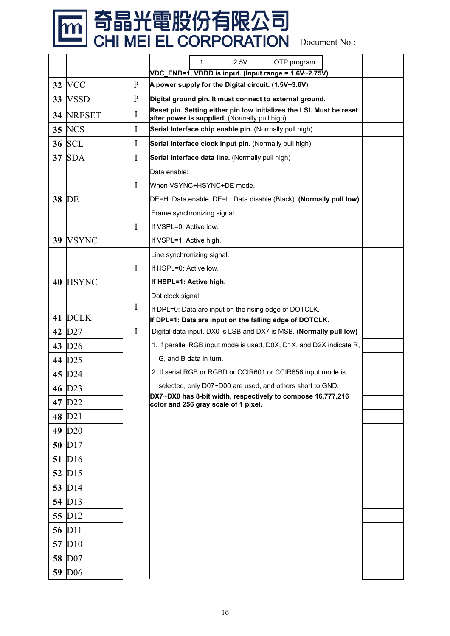# **m 奇晶光電股份有限公司<br>Leng CHI MEI EL CORPORATION** Document No.:

|    |                    |              | 1<br>2.5V<br>OTP program                                                                                                                   |
|----|--------------------|--------------|--------------------------------------------------------------------------------------------------------------------------------------------|
|    |                    |              | VDC_ENB=1, VDDD is input. (Input range = 1.6V~2.75V)                                                                                       |
| 32 | <b>VCC</b>         | P            | A power supply for the Digital circuit. (1.5V~3.6V)                                                                                        |
| 33 | <b>VSSD</b>        | $\mathbf{P}$ | Digital ground pin. It must connect to external ground.                                                                                    |
| 34 | <b>NRESET</b>      | I            | Reset pin. Setting either pin low initializes the LSI. Must be reset<br>after power is supplied. (Normally pull high)                      |
| 35 | <b>NCS</b>         | I            | Serial Interface chip enable pin. (Normally pull high)                                                                                     |
|    | <b>36 SCL</b>      | I            | Serial Interface clock input pin. (Normally pull high)                                                                                     |
| 37 | <b>SDA</b>         | I            | Serial Interface data line. (Normally pull high)                                                                                           |
|    |                    |              | Data enable:                                                                                                                               |
|    |                    | I            | When VSYNC+HSYNC+DE mode,                                                                                                                  |
| 38 | DE                 |              | DE=H: Data enable, DE=L: Data disable (Black). (Normally pull low)                                                                         |
|    |                    |              | Frame synchronizing signal.                                                                                                                |
|    |                    | I            | If VSPL=0: Active low.                                                                                                                     |
| 39 | <b>VSYNC</b>       |              | If VSPL=1: Active high.                                                                                                                    |
|    |                    |              | Line synchronizing signal.                                                                                                                 |
|    |                    | I            | If HSPL=0: Active low.                                                                                                                     |
| 40 | <b>HSYNC</b>       |              | If HSPL=1: Active high.                                                                                                                    |
|    |                    |              | Dot clock signal.                                                                                                                          |
|    | <b>DCLK</b>        | I            | If DPL=0: Data are input on the rising edge of DOTCLK.                                                                                     |
| 41 | D27                | I            | If DPL=1: Data are input on the falling edge of DOTCLK.                                                                                    |
| 42 |                    |              | Digital data input. DX0 is LSB and DX7 is MSB. (Normally pull low)<br>1. If parallel RGB input mode is used, D0X, D1X, and D2X indicate R, |
| 43 | D26                |              | G, and B data in turn.                                                                                                                     |
| 44 | D25                |              | 2. If serial RGB or RGBD or CCIR601 or CCIR656 input mode is                                                                               |
| 45 | D24                |              | selected, only D07~D00 are used, and others short to GND.                                                                                  |
|    | 46 D <sub>23</sub> |              | DX7~DX0 has 8-bit width, respectively to compose 16,777,216                                                                                |
|    | 47 D <sub>22</sub> |              | color and 256 gray scale of 1 pixel.                                                                                                       |
|    | 48 D <sub>21</sub> |              |                                                                                                                                            |
| 49 | D20                |              |                                                                                                                                            |
|    | 50 D17             |              |                                                                                                                                            |
| 51 | D16                |              |                                                                                                                                            |
|    | 52 D <sub>15</sub> |              |                                                                                                                                            |
|    | 53 D14             |              |                                                                                                                                            |
|    | 54 D13             |              |                                                                                                                                            |
|    | 55 D12             |              |                                                                                                                                            |
|    | 56 D11             |              |                                                                                                                                            |
|    | 57 D <sub>10</sub> |              |                                                                                                                                            |
|    | 58 D07             |              |                                                                                                                                            |
|    | 59 D <sub>06</sub> |              |                                                                                                                                            |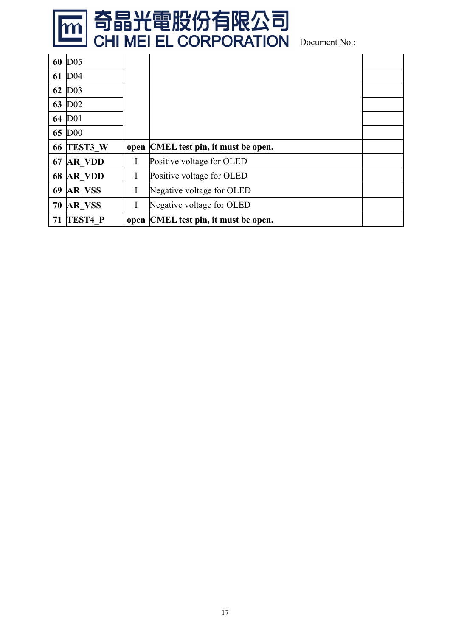

| 60 | D <sub>05</sub> |   |                                      |  |
|----|-----------------|---|--------------------------------------|--|
| 61 | D <sub>04</sub> |   |                                      |  |
| 62 | D <sub>03</sub> |   |                                      |  |
| 63 | D <sub>02</sub> |   |                                      |  |
| 64 | D <sub>01</sub> |   |                                      |  |
| 65 | D <sub>00</sub> |   |                                      |  |
|    |                 |   |                                      |  |
| 66 | TEST3 W         |   | open CMEL test pin, it must be open. |  |
| 67 | <b>AR VDD</b>   | I | Positive voltage for OLED            |  |
| 68 | <b>AR VDD</b>   | I | Positive voltage for OLED            |  |
| 69 | <b>AR VSS</b>   | I | Negative voltage for OLED            |  |
| 70 | <b>AR VSS</b>   | I | Negative voltage for OLED            |  |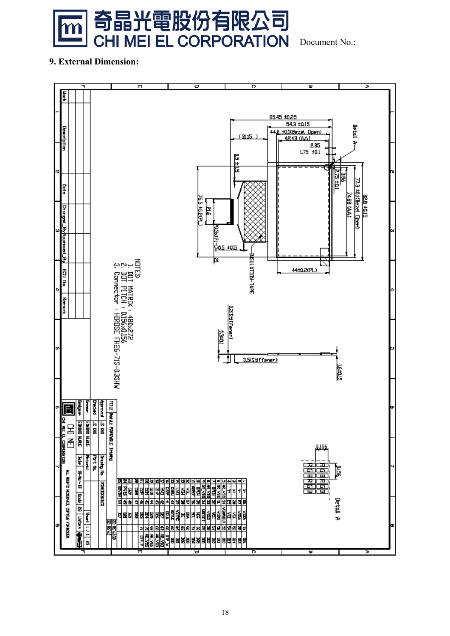

Document No.:

#### **9. External Dimension:**

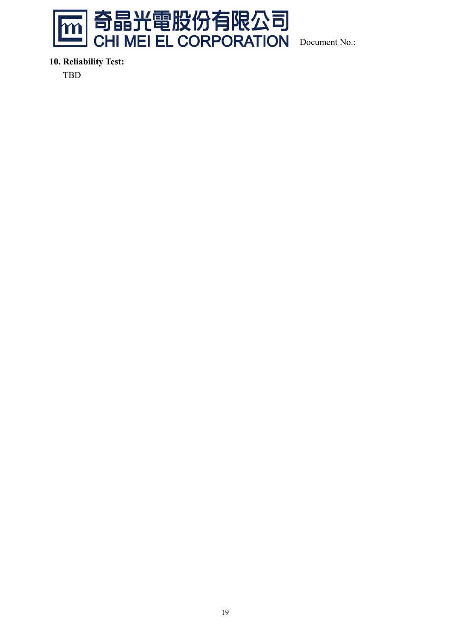

**10. Reliability Test:** 

TBD